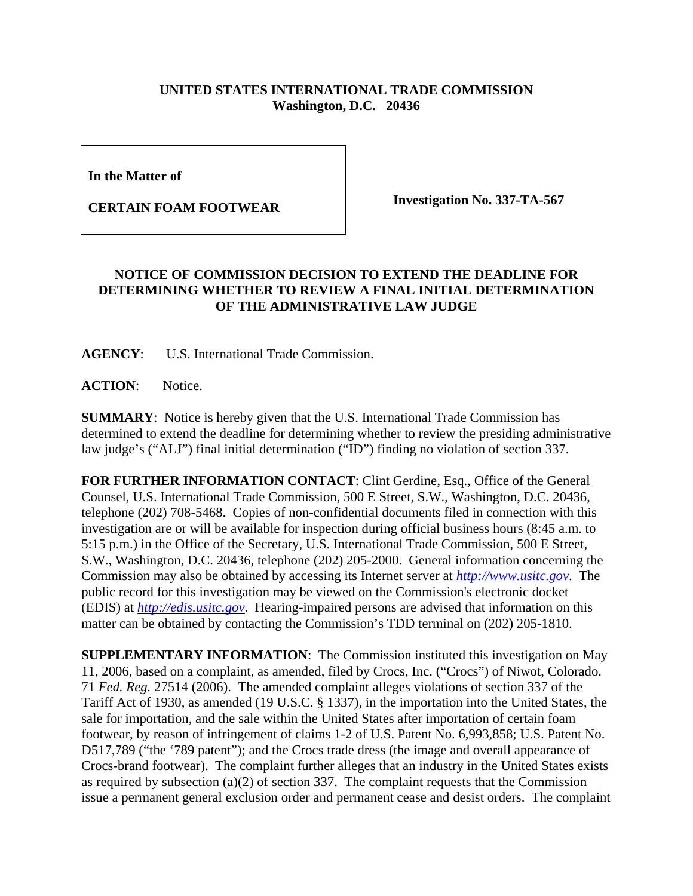## **UNITED STATES INTERNATIONAL TRADE COMMISSION Washington, D.C. 20436**

**In the Matter of** 

**CERTAIN FOAM FOOTWEAR Investigation No. 337-TA-567** 

## **NOTICE OF COMMISSION DECISION TO EXTEND THE DEADLINE FOR DETERMINING WHETHER TO REVIEW A FINAL INITIAL DETERMINATION OF THE ADMINISTRATIVE LAW JUDGE**

**AGENCY**: U.S. International Trade Commission.

**ACTION**: Notice.

**SUMMARY**: Notice is hereby given that the U.S. International Trade Commission has determined to extend the deadline for determining whether to review the presiding administrative law judge's ("ALJ") final initial determination ("ID") finding no violation of section 337.

**FOR FURTHER INFORMATION CONTACT**: Clint Gerdine, Esq., Office of the General Counsel, U.S. International Trade Commission, 500 E Street, S.W., Washington, D.C. 20436, telephone (202) 708-5468. Copies of non-confidential documents filed in connection with this investigation are or will be available for inspection during official business hours (8:45 a.m. to 5:15 p.m.) in the Office of the Secretary, U.S. International Trade Commission, 500 E Street, S.W., Washington, D.C. 20436, telephone (202) 205-2000. General information concerning the Commission may also be obtained by accessing its Internet server at *http://www.usitc.gov*. The public record for this investigation may be viewed on the Commission's electronic docket (EDIS) at *http://edis.usitc.gov*. Hearing-impaired persons are advised that information on this matter can be obtained by contacting the Commission's TDD terminal on (202) 205-1810.

**SUPPLEMENTARY INFORMATION**: The Commission instituted this investigation on May 11, 2006, based on a complaint, as amended, filed by Crocs, Inc. ("Crocs") of Niwot, Colorado. 71 *Fed. Reg.* 27514 (2006). The amended complaint alleges violations of section 337 of the Tariff Act of 1930, as amended (19 U.S.C. § 1337), in the importation into the United States, the sale for importation, and the sale within the United States after importation of certain foam footwear, by reason of infringement of claims 1-2 of U.S. Patent No. 6,993,858; U.S. Patent No. D517,789 ("the '789 patent"); and the Crocs trade dress (the image and overall appearance of Crocs-brand footwear). The complaint further alleges that an industry in the United States exists as required by subsection (a)(2) of section 337. The complaint requests that the Commission issue a permanent general exclusion order and permanent cease and desist orders. The complaint